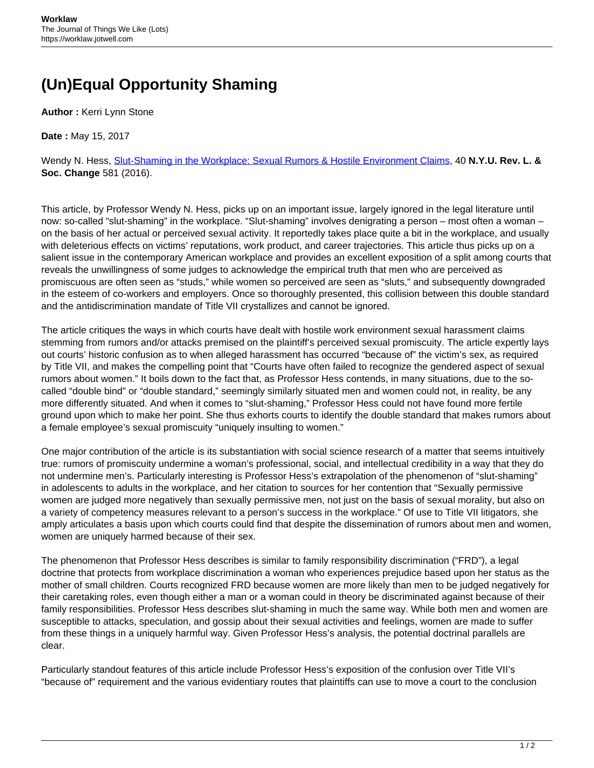## **(Un)Equal Opportunity Shaming**

**Author :** Kerri Lynn Stone

**Date :** May 15, 2017

Wendy N. Hess, [Slut-Shaming in the Workplace: Sexual Rumors & Hostile Environment Claims,](https://socialchangenyutest.files.wordpress.com/2016/10/hess_digital_9-29.pdf) 40 **N.Y.U. Rev. L. & Soc. Change** 581 (2016).

This article, by Professor Wendy N. Hess, picks up on an important issue, largely ignored in the legal literature until now: so-called "slut-shaming" in the workplace. "Slut-shaming" involves denigrating a person – most often a woman – on the basis of her actual or perceived sexual activity. It reportedly takes place quite a bit in the workplace, and usually with deleterious effects on victims' reputations, work product, and career trajectories. This article thus picks up on a salient issue in the contemporary American workplace and provides an excellent exposition of a split among courts that reveals the unwillingness of some judges to acknowledge the empirical truth that men who are perceived as promiscuous are often seen as "studs," while women so perceived are seen as "sluts," and subsequently downgraded in the esteem of co-workers and employers. Once so thoroughly presented, this collision between this double standard and the antidiscrimination mandate of Title VII crystallizes and cannot be ignored.

The article critiques the ways in which courts have dealt with hostile work environment sexual harassment claims stemming from rumors and/or attacks premised on the plaintiff's perceived sexual promiscuity. The article expertly lays out courts' historic confusion as to when alleged harassment has occurred "because of" the victim's sex, as required by Title VII, and makes the compelling point that "Courts have often failed to recognize the gendered aspect of sexual rumors about women." It boils down to the fact that, as Professor Hess contends, in many situations, due to the socalled "double bind" or "double standard," seemingly similarly situated men and women could not, in reality, be any more differently situated. And when it comes to "slut-shaming," Professor Hess could not have found more fertile ground upon which to make her point. She thus exhorts courts to identify the double standard that makes rumors about a female employee's sexual promiscuity "uniquely insulting to women."

One major contribution of the article is its substantiation with social science research of a matter that seems intuitively true: rumors of promiscuity undermine a woman's professional, social, and intellectual credibility in a way that they do not undermine men's. Particularly interesting is Professor Hess's extrapolation of the phenomenon of "slut-shaming" in adolescents to adults in the workplace, and her citation to sources for her contention that "Sexually permissive women are judged more negatively than sexually permissive men, not just on the basis of sexual morality, but also on a variety of competency measures relevant to a person's success in the workplace." Of use to Title VII litigators, she amply articulates a basis upon which courts could find that despite the dissemination of rumors about men and women, women are uniquely harmed because of their sex.

The phenomenon that Professor Hess describes is similar to family responsibility discrimination ("FRD"), a legal doctrine that protects from workplace discrimination a woman who experiences prejudice based upon her status as the mother of small children. Courts recognized FRD because women are more likely than men to be judged negatively for their caretaking roles, even though either a man or a woman could in theory be discriminated against because of their family responsibilities. Professor Hess describes slut-shaming in much the same way. While both men and women are susceptible to attacks, speculation, and gossip about their sexual activities and feelings, women are made to suffer from these things in a uniquely harmful way. Given Professor Hess's analysis, the potential doctrinal parallels are clear.

Particularly standout features of this article include Professor Hess's exposition of the confusion over Title VII's "because of" requirement and the various evidentiary routes that plaintiffs can use to move a court to the conclusion